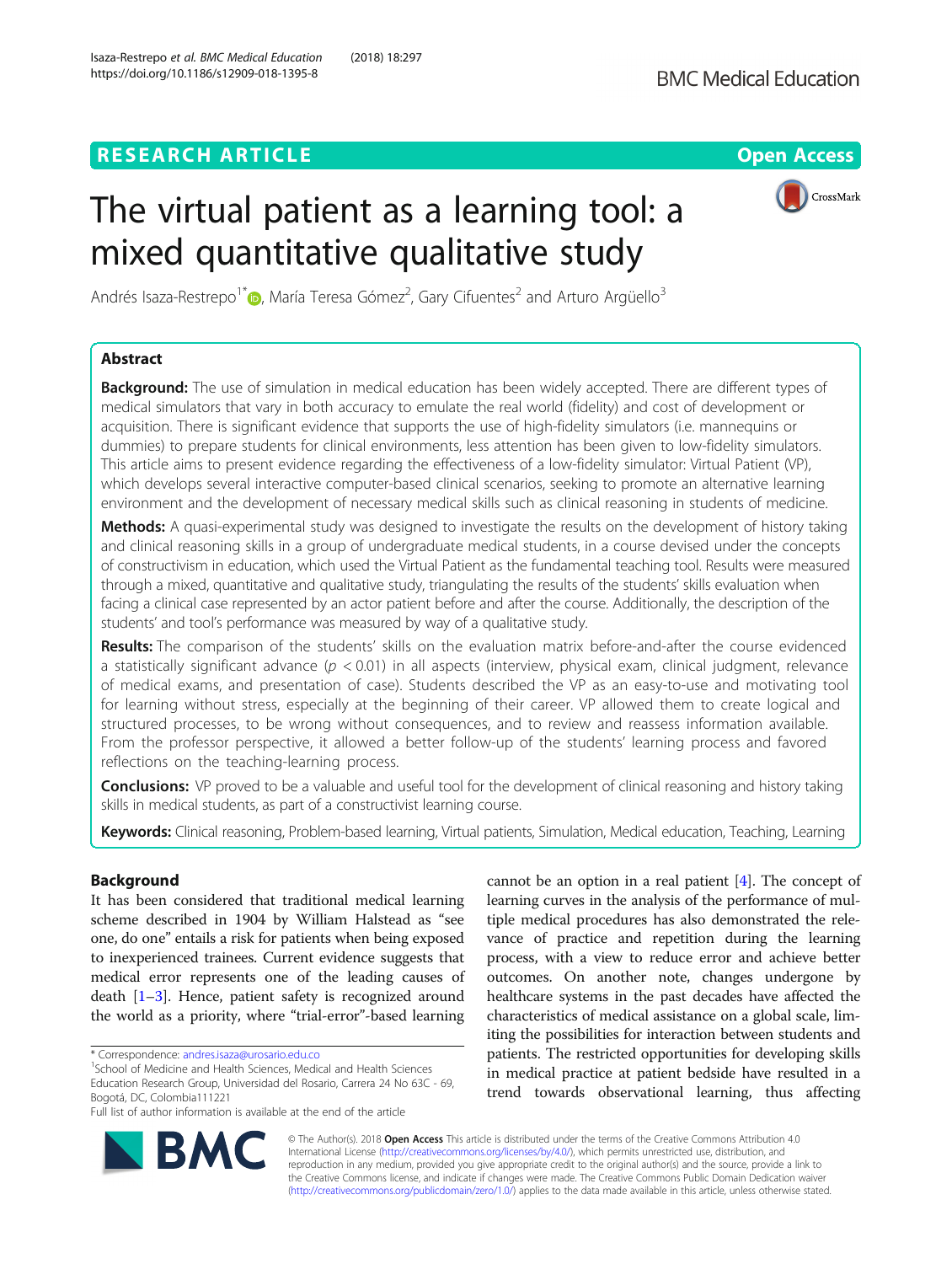## **RESEARCH ARTICLE Example 2014 12:30 The Open Access**



# The virtual patient as a learning tool: a mixed quantitative qualitative study

Andrés Isaza-Restrepo<sup>1\*</sup>®[,](http://orcid.org/0000-0002-1569-969X) María Teresa Gómez<sup>2</sup>, Gary Cifuentes<sup>2</sup> and Arturo Argüello<sup>3</sup>

## Abstract

**Background:** The use of simulation in medical education has been widely accepted. There are different types of medical simulators that vary in both accuracy to emulate the real world (fidelity) and cost of development or acquisition. There is significant evidence that supports the use of high-fidelity simulators (i.e. mannequins or dummies) to prepare students for clinical environments, less attention has been given to low-fidelity simulators. This article aims to present evidence regarding the effectiveness of a low-fidelity simulator: Virtual Patient (VP), which develops several interactive computer-based clinical scenarios, seeking to promote an alternative learning environment and the development of necessary medical skills such as clinical reasoning in students of medicine.

Methods: A quasi-experimental study was designed to investigate the results on the development of history taking and clinical reasoning skills in a group of undergraduate medical students, in a course devised under the concepts of constructivism in education, which used the Virtual Patient as the fundamental teaching tool. Results were measured through a mixed, quantitative and qualitative study, triangulating the results of the students' skills evaluation when facing a clinical case represented by an actor patient before and after the course. Additionally, the description of the students' and tool's performance was measured by way of a qualitative study.

Results: The comparison of the students' skills on the evaluation matrix before-and-after the course evidenced a statistically significant advance ( $p < 0.01$ ) in all aspects (interview, physical exam, clinical judgment, relevance of medical exams, and presentation of case). Students described the VP as an easy-to-use and motivating tool for learning without stress, especially at the beginning of their career. VP allowed them to create logical and structured processes, to be wrong without consequences, and to review and reassess information available. From the professor perspective, it allowed a better follow-up of the students' learning process and favored reflections on the teaching-learning process.

**Conclusions:** VP proved to be a valuable and useful tool for the development of clinical reasoning and history taking skills in medical students, as part of a constructivist learning course.

Keywords: Clinical reasoning, Problem-based learning, Virtual patients, Simulation, Medical education, Teaching, Learning

## Background

It has been considered that traditional medical learning scheme described in 1904 by William Halstead as "see one, do one" entails a risk for patients when being exposed to inexperienced trainees. Current evidence suggests that medical error represents one of the leading causes of death [\[1](#page-8-0)–[3\]](#page-8-0). Hence, patient safety is recognized around the world as a priority, where "trial-error"-based learning

cannot be an option in a real patient [[4\]](#page-8-0). The concept of learning curves in the analysis of the performance of multiple medical procedures has also demonstrated the relevance of practice and repetition during the learning process, with a view to reduce error and achieve better outcomes. On another note, changes undergone by healthcare systems in the past decades have affected the characteristics of medical assistance on a global scale, limiting the possibilities for interaction between students and patients. The restricted opportunities for developing skills in medical practice at patient bedside have resulted in a trend towards observational learning, thus affecting



© The Author(s). 2018 Open Access This article is distributed under the terms of the Creative Commons Attribution 4.0 International License [\(http://creativecommons.org/licenses/by/4.0/](http://creativecommons.org/licenses/by/4.0/)), which permits unrestricted use, distribution, and reproduction in any medium, provided you give appropriate credit to the original author(s) and the source, provide a link to the Creative Commons license, and indicate if changes were made. The Creative Commons Public Domain Dedication waiver [\(http://creativecommons.org/publicdomain/zero/1.0/](http://creativecommons.org/publicdomain/zero/1.0/)) applies to the data made available in this article, unless otherwise stated.

<sup>\*</sup> Correspondence: [andres.isaza@urosario.edu.co](mailto:andres.isaza@urosario.edu.co) <sup>1</sup>

<sup>&</sup>lt;sup>1</sup>School of Medicine and Health Sciences, Medical and Health Sciences Education Research Group, Universidad del Rosario, Carrera 24 No 63C - 69, Bogotá, DC, Colombia111221

Full list of author information is available at the end of the article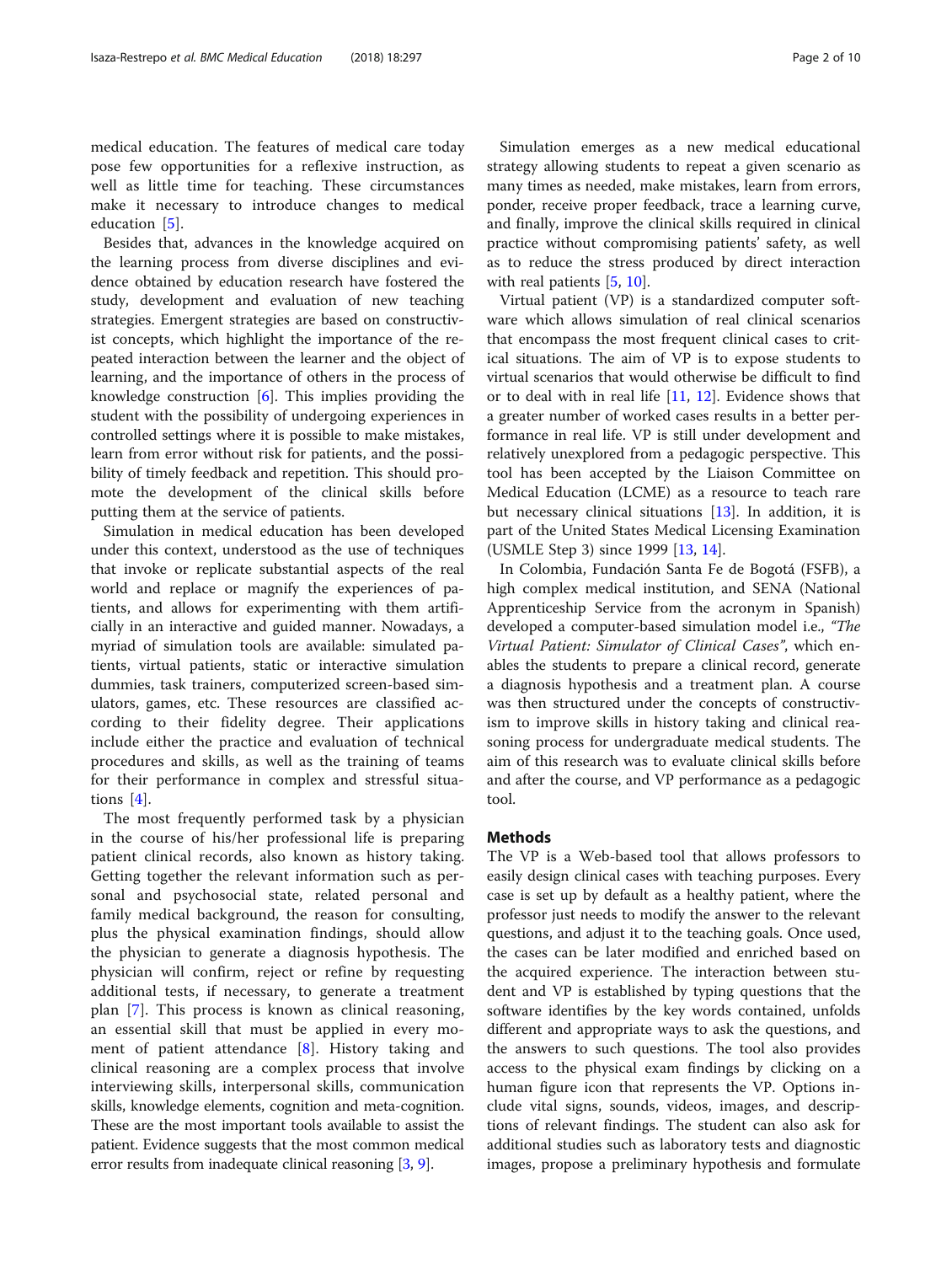medical education. The features of medical care today pose few opportunities for a reflexive instruction, as well as little time for teaching. These circumstances make it necessary to introduce changes to medical education [[5\]](#page-8-0).

Besides that, advances in the knowledge acquired on the learning process from diverse disciplines and evidence obtained by education research have fostered the study, development and evaluation of new teaching strategies. Emergent strategies are based on constructivist concepts, which highlight the importance of the repeated interaction between the learner and the object of learning, and the importance of others in the process of knowledge construction [[6\]](#page-8-0). This implies providing the student with the possibility of undergoing experiences in controlled settings where it is possible to make mistakes, learn from error without risk for patients, and the possibility of timely feedback and repetition. This should promote the development of the clinical skills before putting them at the service of patients.

Simulation in medical education has been developed under this context, understood as the use of techniques that invoke or replicate substantial aspects of the real world and replace or magnify the experiences of patients, and allows for experimenting with them artificially in an interactive and guided manner. Nowadays, a myriad of simulation tools are available: simulated patients, virtual patients, static or interactive simulation dummies, task trainers, computerized screen-based simulators, games, etc. These resources are classified according to their fidelity degree. Their applications include either the practice and evaluation of technical procedures and skills, as well as the training of teams for their performance in complex and stressful situations [\[4](#page-8-0)].

The most frequently performed task by a physician in the course of his/her professional life is preparing patient clinical records, also known as history taking. Getting together the relevant information such as personal and psychosocial state, related personal and family medical background, the reason for consulting, plus the physical examination findings, should allow the physician to generate a diagnosis hypothesis. The physician will confirm, reject or refine by requesting additional tests, if necessary, to generate a treatment plan [[7\]](#page-8-0). This process is known as clinical reasoning, an essential skill that must be applied in every moment of patient attendance [\[8](#page-8-0)]. History taking and clinical reasoning are a complex process that involve interviewing skills, interpersonal skills, communication skills, knowledge elements, cognition and meta-cognition. These are the most important tools available to assist the patient. Evidence suggests that the most common medical error results from inadequate clinical reasoning [\[3,](#page-8-0) [9](#page-8-0)].

Simulation emerges as a new medical educational strategy allowing students to repeat a given scenario as many times as needed, make mistakes, learn from errors, ponder, receive proper feedback, trace a learning curve, and finally, improve the clinical skills required in clinical practice without compromising patients' safety, as well as to reduce the stress produced by direct interaction with real patients [[5,](#page-8-0) [10\]](#page-8-0).

Virtual patient (VP) is a standardized computer software which allows simulation of real clinical scenarios that encompass the most frequent clinical cases to critical situations. The aim of VP is to expose students to virtual scenarios that would otherwise be difficult to find or to deal with in real life [[11,](#page-8-0) [12](#page-8-0)]. Evidence shows that a greater number of worked cases results in a better performance in real life. VP is still under development and relatively unexplored from a pedagogic perspective. This tool has been accepted by the Liaison Committee on Medical Education (LCME) as a resource to teach rare but necessary clinical situations [[13](#page-8-0)]. In addition, it is part of the United States Medical Licensing Examination (USMLE Step 3) since 1999 [\[13](#page-8-0), [14\]](#page-8-0).

In Colombia, Fundación Santa Fe de Bogotá (FSFB), a high complex medical institution, and SENA (National Apprenticeship Service from the acronym in Spanish) developed a computer-based simulation model i.e., "The Virtual Patient: Simulator of Clinical Cases", which enables the students to prepare a clinical record, generate a diagnosis hypothesis and a treatment plan. A course was then structured under the concepts of constructivism to improve skills in history taking and clinical reasoning process for undergraduate medical students. The aim of this research was to evaluate clinical skills before and after the course, and VP performance as a pedagogic tool.

#### Methods

The VP is a Web-based tool that allows professors to easily design clinical cases with teaching purposes. Every case is set up by default as a healthy patient, where the professor just needs to modify the answer to the relevant questions, and adjust it to the teaching goals. Once used, the cases can be later modified and enriched based on the acquired experience. The interaction between student and VP is established by typing questions that the software identifies by the key words contained, unfolds different and appropriate ways to ask the questions, and the answers to such questions. The tool also provides access to the physical exam findings by clicking on a human figure icon that represents the VP. Options include vital signs, sounds, videos, images, and descriptions of relevant findings. The student can also ask for additional studies such as laboratory tests and diagnostic images, propose a preliminary hypothesis and formulate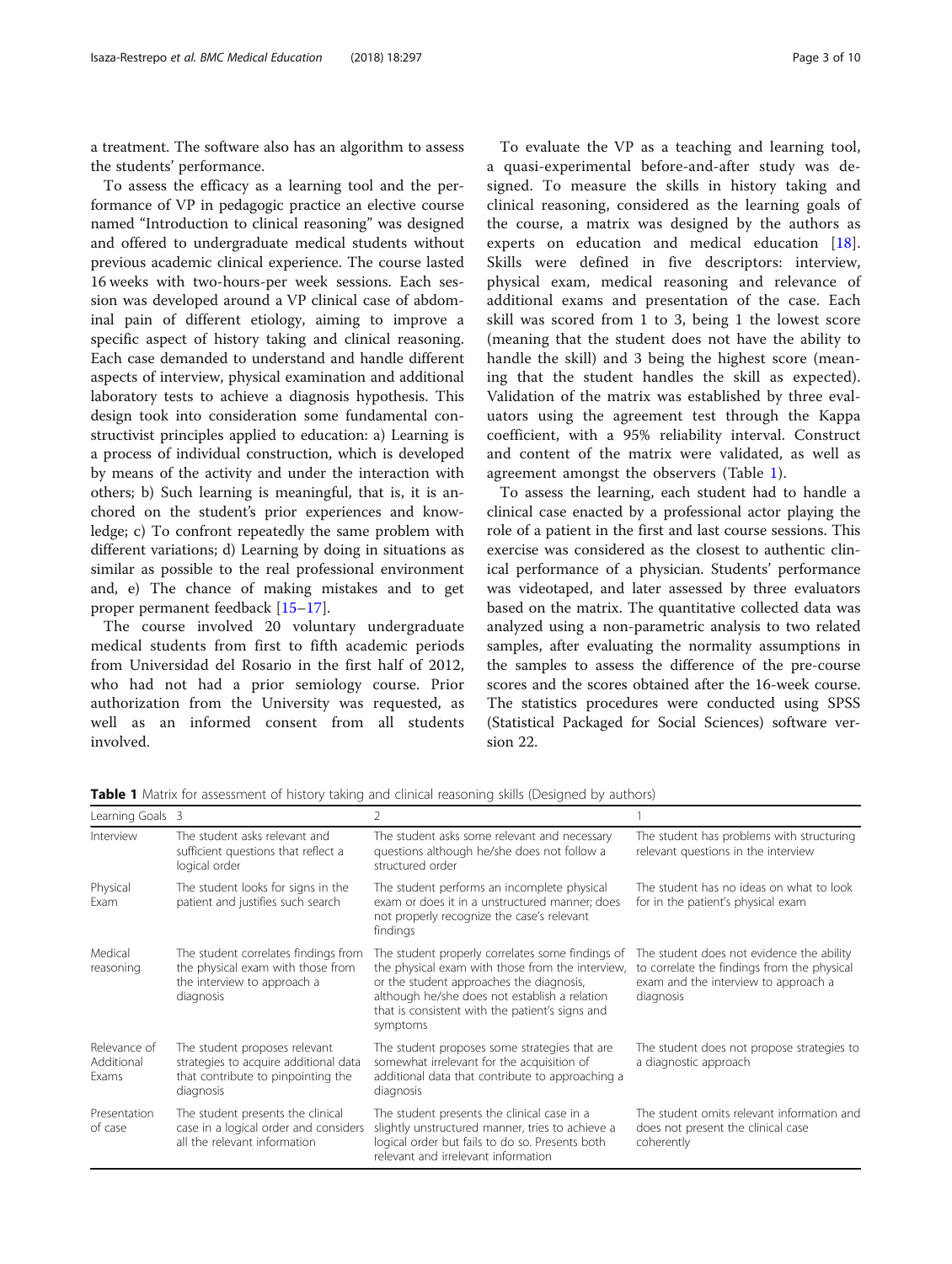<span id="page-2-0"></span>a treatment. The software also has an algorithm to assess the students' performance.

To assess the efficacy as a learning tool and the performance of VP in pedagogic practice an elective course named "Introduction to clinical reasoning" was designed and offered to undergraduate medical students without previous academic clinical experience. The course lasted 16 weeks with two-hours-per week sessions. Each session was developed around a VP clinical case of abdominal pain of different etiology, aiming to improve a specific aspect of history taking and clinical reasoning. Each case demanded to understand and handle different aspects of interview, physical examination and additional laboratory tests to achieve a diagnosis hypothesis. This design took into consideration some fundamental constructivist principles applied to education: a) Learning is a process of individual construction, which is developed by means of the activity and under the interaction with others; b) Such learning is meaningful, that is, it is anchored on the student's prior experiences and knowledge; c) To confront repeatedly the same problem with different variations; d) Learning by doing in situations as similar as possible to the real professional environment and, e) The chance of making mistakes and to get proper permanent feedback [[15](#page-8-0)–[17\]](#page-8-0).

The course involved 20 voluntary undergraduate medical students from first to fifth academic periods from Universidad del Rosario in the first half of 2012, who had not had a prior semiology course. Prior authorization from the University was requested, as well as an informed consent from all students involved.

To evaluate the VP as a teaching and learning tool, a quasi-experimental before-and-after study was designed. To measure the skills in history taking and clinical reasoning, considered as the learning goals of the course, a matrix was designed by the authors as experts on education and medical education [\[18](#page-8-0)]. Skills were defined in five descriptors: interview, physical exam, medical reasoning and relevance of additional exams and presentation of the case. Each skill was scored from 1 to 3, being 1 the lowest score (meaning that the student does not have the ability to handle the skill) and 3 being the highest score (meaning that the student handles the skill as expected). Validation of the matrix was established by three evaluators using the agreement test through the Kappa coefficient, with a 95% reliability interval. Construct and content of the matrix were validated, as well as agreement amongst the observers (Table 1).

To assess the learning, each student had to handle a clinical case enacted by a professional actor playing the role of a patient in the first and last course sessions. This exercise was considered as the closest to authentic clinical performance of a physician. Students' performance was videotaped, and later assessed by three evaluators based on the matrix. The quantitative collected data was analyzed using a non-parametric analysis to two related samples, after evaluating the normality assumptions in the samples to assess the difference of the pre-course scores and the scores obtained after the 16-week course. The statistics procedures were conducted using SPSS (Statistical Packaged for Social Sciences) software version 22.

| Learning Goals 3                    |                                                                                                                           | 2                                                                                                                                                                                                                                                                |                                                                                                                                               |
|-------------------------------------|---------------------------------------------------------------------------------------------------------------------------|------------------------------------------------------------------------------------------------------------------------------------------------------------------------------------------------------------------------------------------------------------------|-----------------------------------------------------------------------------------------------------------------------------------------------|
| Interview                           | The student asks relevant and<br>sufficient questions that reflect a<br>logical order                                     | The student asks some relevant and necessary<br>questions although he/she does not follow a<br>structured order                                                                                                                                                  | The student has problems with structuring<br>relevant questions in the interview                                                              |
| Physical<br><b>Fxam</b>             | The student looks for signs in the<br>patient and justifies such search                                                   | The student performs an incomplete physical<br>exam or does it in a unstructured manner; does<br>not properly recognize the case's relevant<br>findings                                                                                                          | The student has no ideas on what to look<br>for in the patient's physical exam                                                                |
| Medical<br>reasoning                | The student correlates findings from<br>the physical exam with those from<br>the interview to approach a<br>diagnosis     | The student properly correlates some findings of<br>the physical exam with those from the interview,<br>or the student approaches the diagnosis,<br>although he/she does not establish a relation<br>that is consistent with the patient's signs and<br>symptoms | The student does not evidence the ability<br>to correlate the findings from the physical<br>exam and the interview to approach a<br>diagnosis |
| Relevance of<br>Additional<br>Exams | The student proposes relevant<br>strategies to acquire additional data<br>that contribute to pinpointing the<br>diagnosis | The student proposes some strategies that are<br>somewhat irrelevant for the acquisition of<br>additional data that contribute to approaching a<br>diagnosis                                                                                                     | The student does not propose strategies to<br>a diagnostic approach                                                                           |
| Presentation<br>of case             | The student presents the clinical<br>case in a logical order and considers<br>all the relevant information                | The student presents the clinical case in a<br>slightly unstructured manner, tries to achieve a<br>logical order but fails to do so. Presents both<br>relevant and irrelevant information                                                                        | The student omits relevant information and<br>does not present the clinical case<br>coherently                                                |

Table 1 Matrix for assessment of history taking and clinical reasoning skills (Designed by authors)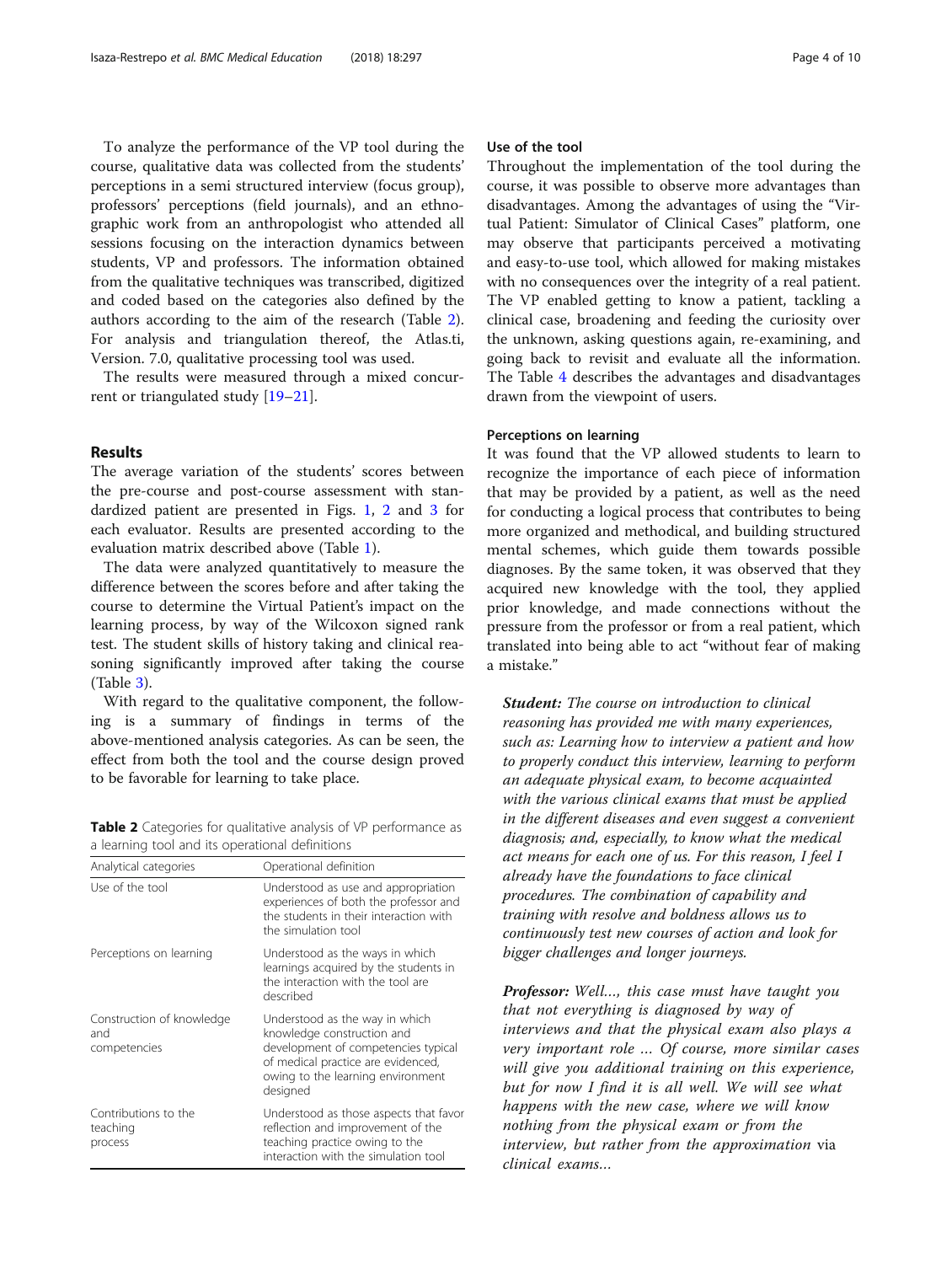To analyze the performance of the VP tool during the course, qualitative data was collected from the students' perceptions in a semi structured interview (focus group), professors' perceptions (field journals), and an ethnographic work from an anthropologist who attended all sessions focusing on the interaction dynamics between students, VP and professors. The information obtained from the qualitative techniques was transcribed, digitized and coded based on the categories also defined by the authors according to the aim of the research (Table 2). For analysis and triangulation thereof, the Atlas.ti, Version. 7.0, qualitative processing tool was used.

The results were measured through a mixed concurrent or triangulated study [[19](#page-8-0)–[21](#page-8-0)].

## Results

The average variation of the students' scores between the pre-course and post-course assessment with standardized patient are presented in Figs. [1](#page-4-0), [2](#page-4-0) and [3](#page-5-0) for each evaluator. Results are presented according to the evaluation matrix described above (Table [1\)](#page-2-0).

The data were analyzed quantitatively to measure the difference between the scores before and after taking the course to determine the Virtual Patient's impact on the learning process, by way of the Wilcoxon signed rank test. The student skills of history taking and clinical reasoning significantly improved after taking the course (Table [3\)](#page-5-0).

With regard to the qualitative component, the following is a summary of findings in terms of the above-mentioned analysis categories. As can be seen, the effect from both the tool and the course design proved to be favorable for learning to take place.

Table 2 Categories for qualitative analysis of VP performance as a learning tool and its operational definitions

| Analytical categories                            | Operational definition                                                                                                                                                                     |
|--------------------------------------------------|--------------------------------------------------------------------------------------------------------------------------------------------------------------------------------------------|
| Use of the tool                                  | Understood as use and appropriation<br>experiences of both the professor and<br>the students in their interaction with<br>the simulation tool                                              |
| Perceptions on learning                          | Understood as the ways in which<br>learnings acquired by the students in<br>the interaction with the tool are<br>described                                                                 |
| Construction of knowledge<br>and<br>competencies | Understood as the way in which<br>knowledge construction and<br>development of competencies typical<br>of medical practice are evidenced,<br>owing to the learning environment<br>designed |
| Contributions to the<br>teaching<br>process      | Understood as those aspects that favor<br>reflection and improvement of the<br>teaching practice owing to the<br>interaction with the simulation tool                                      |

## Use of the tool

Throughout the implementation of the tool during the course, it was possible to observe more advantages than disadvantages. Among the advantages of using the "Virtual Patient: Simulator of Clinical Cases" platform, one may observe that participants perceived a motivating and easy-to-use tool, which allowed for making mistakes with no consequences over the integrity of a real patient. The VP enabled getting to know a patient, tackling a clinical case, broadening and feeding the curiosity over the unknown, asking questions again, re-examining, and going back to revisit and evaluate all the information. The Table [4](#page-6-0) describes the advantages and disadvantages drawn from the viewpoint of users.

## Perceptions on learning

It was found that the VP allowed students to learn to recognize the importance of each piece of information that may be provided by a patient, as well as the need for conducting a logical process that contributes to being more organized and methodical, and building structured mental schemes, which guide them towards possible diagnoses. By the same token, it was observed that they acquired new knowledge with the tool, they applied prior knowledge, and made connections without the pressure from the professor or from a real patient, which translated into being able to act "without fear of making a mistake."

Student: The course on introduction to clinical reasoning has provided me with many experiences, such as: Learning how to interview a patient and how to properly conduct this interview, learning to perform an adequate physical exam, to become acquainted with the various clinical exams that must be applied in the different diseases and even suggest a convenient diagnosis; and, especially, to know what the medical act means for each one of us. For this reason, I feel I already have the foundations to face clinical procedures. The combination of capability and training with resolve and boldness allows us to continuously test new courses of action and look for bigger challenges and longer journeys.

**Professor:** Well..., this case must have taught you that not everything is diagnosed by way of interviews and that the physical exam also plays a very important role … Of course, more similar cases will give you additional training on this experience, but for now I find it is all well. We will see what happens with the new case, where we will know nothing from the physical exam or from the interview, but rather from the approximation via clinical exams…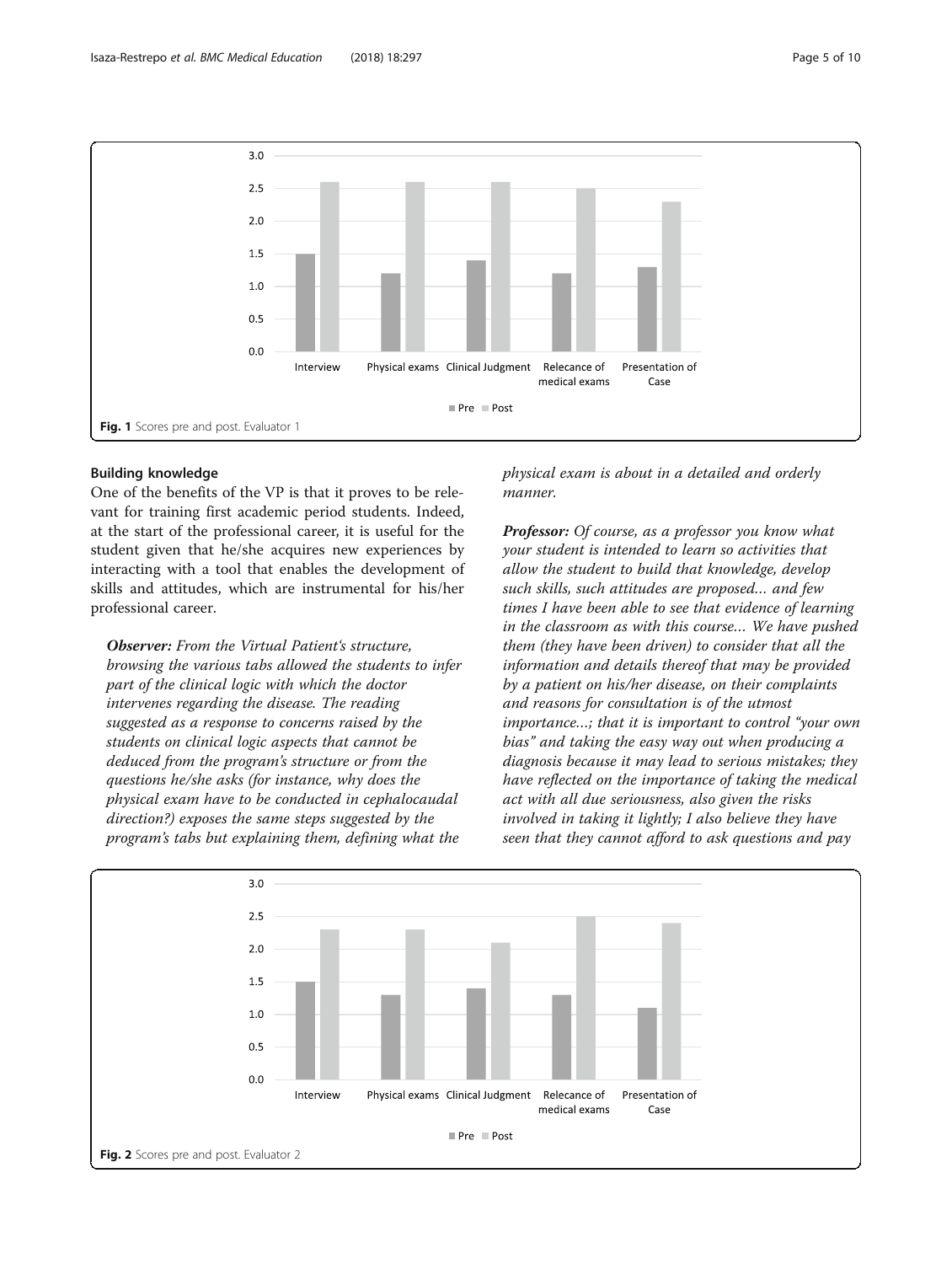<span id="page-4-0"></span>

## Building knowledge

One of the benefits of the VP is that it proves to be relevant for training first academic period students. Indeed, at the start of the professional career, it is useful for the student given that he/she acquires new experiences by interacting with a tool that enables the development of skills and attitudes, which are instrumental for his/her professional career.

Observer: From the Virtual Patient's structure, browsing the various tabs allowed the students to infer part of the clinical logic with which the doctor intervenes regarding the disease. The reading suggested as a response to concerns raised by the students on clinical logic aspects that cannot be deduced from the program's structure or from the questions he/she asks (for instance, why does the physical exam have to be conducted in cephalocaudal direction?) exposes the same steps suggested by the program's tabs but explaining them, defining what the

physical exam is about in a detailed and orderly manner.

Professor: Of course, as a professor you know what your student is intended to learn so activities that allow the student to build that knowledge, develop such skills, such attitudes are proposed… and few times I have been able to see that evidence of learning in the classroom as with this course… We have pushed them (they have been driven) to consider that all the information and details thereof that may be provided by a patient on his/her disease, on their complaints and reasons for consultation is of the utmost importance…; that it is important to control "your own bias" and taking the easy way out when producing a diagnosis because it may lead to serious mistakes; they have reflected on the importance of taking the medical act with all due seriousness, also given the risks involved in taking it lightly; I also believe they have seen that they cannot afford to ask questions and pay

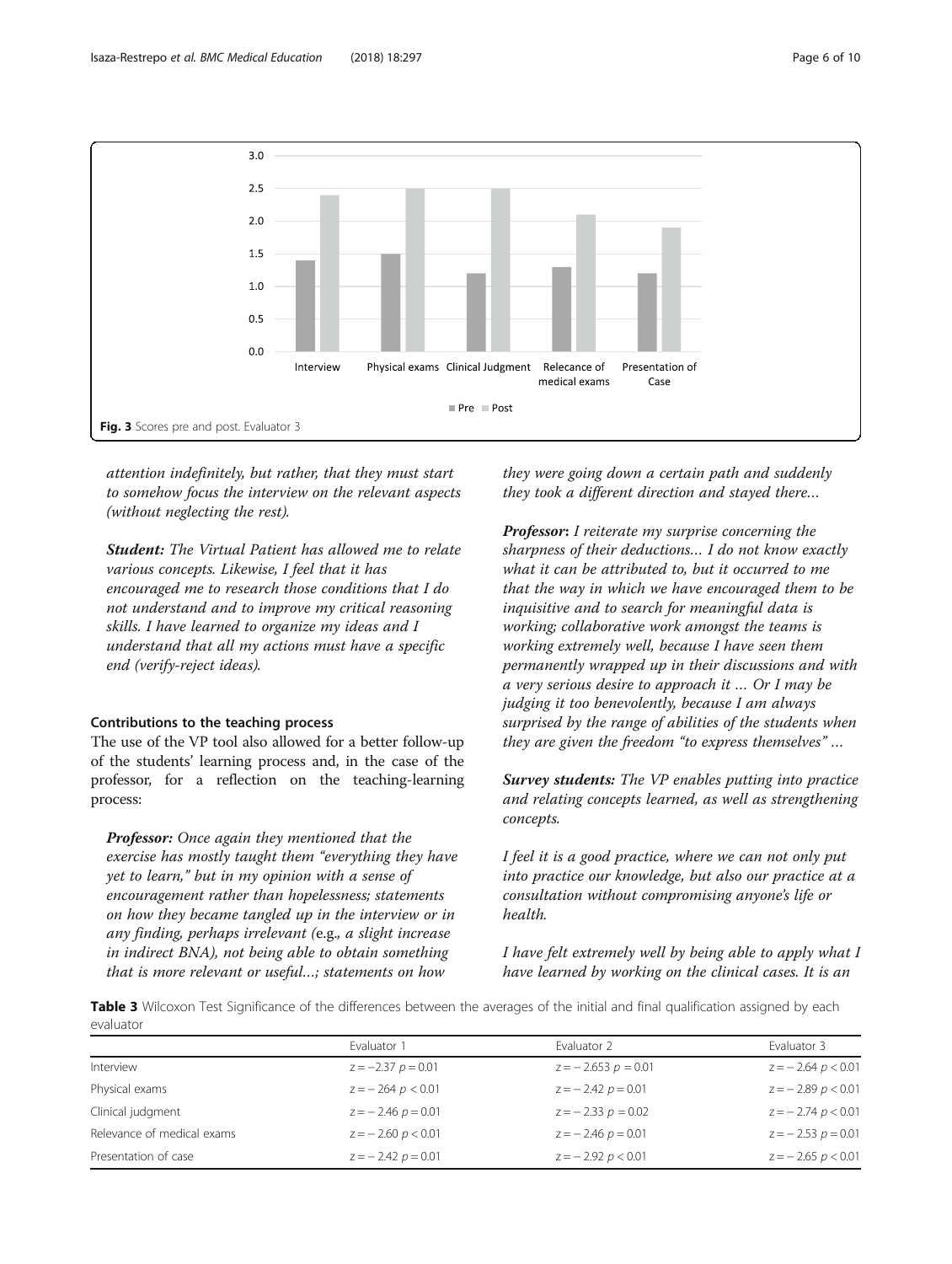<span id="page-5-0"></span>

attention indefinitely, but rather, that they must start to somehow focus the interview on the relevant aspects (without neglecting the rest).

Student: The Virtual Patient has allowed me to relate various concepts. Likewise, I feel that it has encouraged me to research those conditions that I do not understand and to improve my critical reasoning skills. I have learned to organize my ideas and I understand that all my actions must have a specific end (verify-reject ideas).

## Contributions to the teaching process

The use of the VP tool also allowed for a better follow-up of the students' learning process and, in the case of the professor, for a reflection on the teaching-learning process:

Professor: Once again they mentioned that the exercise has mostly taught them "everything they have yet to learn," but in my opinion with a sense of encouragement rather than hopelessness; statements on how they became tangled up in the interview or in any finding, perhaps irrelevant (e.g., a slight increase in indirect BNA), not being able to obtain something that is more relevant or useful…; statements on how

they were going down a certain path and suddenly they took a different direction and stayed there…

Professor: I reiterate my surprise concerning the sharpness of their deductions… I do not know exactly what it can be attributed to, but it occurred to me that the way in which we have encouraged them to be inquisitive and to search for meaningful data is working; collaborative work amongst the teams is working extremely well, because I have seen them permanently wrapped up in their discussions and with a very serious desire to approach it … Or I may be judging it too benevolently, because I am always surprised by the range of abilities of the students when they are given the freedom "to express themselves" …

Survey students: The VP enables putting into practice and relating concepts learned, as well as strengthening concepts.

I feel it is a good practice, where we can not only put into practice our knowledge, but also our practice at a consultation without compromising anyone's life or health.

I have felt extremely well by being able to apply what I have learned by working on the clinical cases. It is an

Table 3 Wilcoxon Test Significance of the differences between the averages of the initial and final qualification assigned by each evaluator

|                            | Evaluator 1            | Evaluator 2             | Evaluator 3            |
|----------------------------|------------------------|-------------------------|------------------------|
| Interview                  | $z = -2.37$ $p = 0.01$ | $z = -2.653$ $p = 0.01$ | $z = -2.64$ $p < 0.01$ |
| Physical exams             | $z = -264 p < 0.01$    | $z = -2.42 p = 0.01$    | $z = -2.89 p < 0.01$   |
| Clinical judgment          | $z = -2.46$ $p = 0.01$ | $z = -2.33$ $p = 0.02$  | $z = -2.74$ $p < 0.01$ |
| Relevance of medical exams | $z = -2.60 p < 0.01$   | $z = -2.46$ $p = 0.01$  | $z = -2.53$ $p = 0.01$ |
| Presentation of case       | $z = -2.42 p = 0.01$   | $z = -2.92 p < 0.01$    | $z = -2.65 p < 0.01$   |
|                            |                        |                         |                        |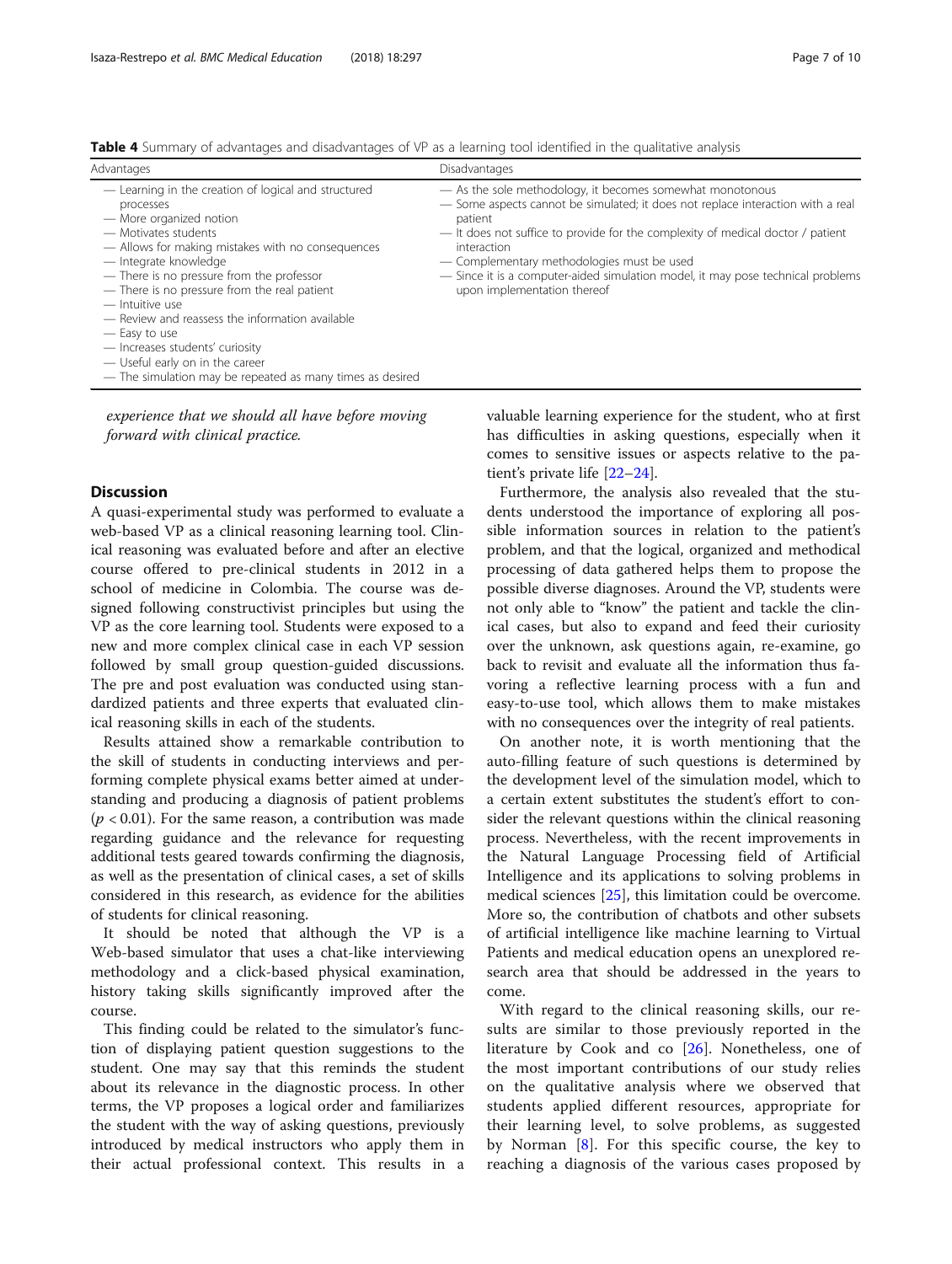<span id="page-6-0"></span>Table 4 Summary of advantages and disadvantages of VP as a learning tool identified in the qualitative analysis

| Advantages                                                                                                                                                                                                                                                                                                                                                                                                                                                                                                                | Disadvantages                                                                                                                                                                                                                                                                                                                                                                                                             |
|---------------------------------------------------------------------------------------------------------------------------------------------------------------------------------------------------------------------------------------------------------------------------------------------------------------------------------------------------------------------------------------------------------------------------------------------------------------------------------------------------------------------------|---------------------------------------------------------------------------------------------------------------------------------------------------------------------------------------------------------------------------------------------------------------------------------------------------------------------------------------------------------------------------------------------------------------------------|
| - Learning in the creation of logical and structured<br>processes<br>- More organized notion<br>- Motivates students<br>— Allows for making mistakes with no consequences<br>- Integrate knowledge<br>- There is no pressure from the professor<br>- There is no pressure from the real patient<br>- Intuitive use<br>- Review and reassess the information available<br>- Easy to use<br>- Increases students' curiosity<br>- Useful early on in the career<br>- The simulation may be repeated as many times as desired | - As the sole methodology, it becomes somewhat monotonous<br>- Some aspects cannot be simulated; it does not replace interaction with a real<br>patient<br>- It does not suffice to provide for the complexity of medical doctor / patient<br>interaction<br>- Complementary methodologies must be used<br>- Since it is a computer-aided simulation model, it may pose technical problems<br>upon implementation thereof |

experience that we should all have before moving forward with clinical practice.

## **Discussion**

A quasi-experimental study was performed to evaluate a web-based VP as a clinical reasoning learning tool. Clinical reasoning was evaluated before and after an elective course offered to pre-clinical students in 2012 in a school of medicine in Colombia. The course was designed following constructivist principles but using the VP as the core learning tool. Students were exposed to a new and more complex clinical case in each VP session followed by small group question-guided discussions. The pre and post evaluation was conducted using standardized patients and three experts that evaluated clinical reasoning skills in each of the students.

Results attained show a remarkable contribution to the skill of students in conducting interviews and performing complete physical exams better aimed at understanding and producing a diagnosis of patient problems  $(p < 0.01)$ . For the same reason, a contribution was made regarding guidance and the relevance for requesting additional tests geared towards confirming the diagnosis, as well as the presentation of clinical cases, a set of skills considered in this research, as evidence for the abilities of students for clinical reasoning.

It should be noted that although the VP is a Web-based simulator that uses a chat-like interviewing methodology and a click-based physical examination, history taking skills significantly improved after the course.

This finding could be related to the simulator's function of displaying patient question suggestions to the student. One may say that this reminds the student about its relevance in the diagnostic process. In other terms, the VP proposes a logical order and familiarizes the student with the way of asking questions, previously introduced by medical instructors who apply them in their actual professional context. This results in a valuable learning experience for the student, who at first has difficulties in asking questions, especially when it comes to sensitive issues or aspects relative to the patient's private life [[22](#page-8-0)–[24](#page-9-0)].

Furthermore, the analysis also revealed that the students understood the importance of exploring all possible information sources in relation to the patient's problem, and that the logical, organized and methodical processing of data gathered helps them to propose the possible diverse diagnoses. Around the VP, students were not only able to "know" the patient and tackle the clinical cases, but also to expand and feed their curiosity over the unknown, ask questions again, re-examine, go back to revisit and evaluate all the information thus favoring a reflective learning process with a fun and easy-to-use tool, which allows them to make mistakes with no consequences over the integrity of real patients.

On another note, it is worth mentioning that the auto-filling feature of such questions is determined by the development level of the simulation model, which to a certain extent substitutes the student's effort to consider the relevant questions within the clinical reasoning process. Nevertheless, with the recent improvements in the Natural Language Processing field of Artificial Intelligence and its applications to solving problems in medical sciences [\[25\]](#page-9-0), this limitation could be overcome. More so, the contribution of chatbots and other subsets of artificial intelligence like machine learning to Virtual Patients and medical education opens an unexplored research area that should be addressed in the years to come.

With regard to the clinical reasoning skills, our results are similar to those previously reported in the literature by Cook and co [\[26](#page-9-0)]. Nonetheless, one of the most important contributions of our study relies on the qualitative analysis where we observed that students applied different resources, appropriate for their learning level, to solve problems, as suggested by Norman [[8\]](#page-8-0). For this specific course, the key to reaching a diagnosis of the various cases proposed by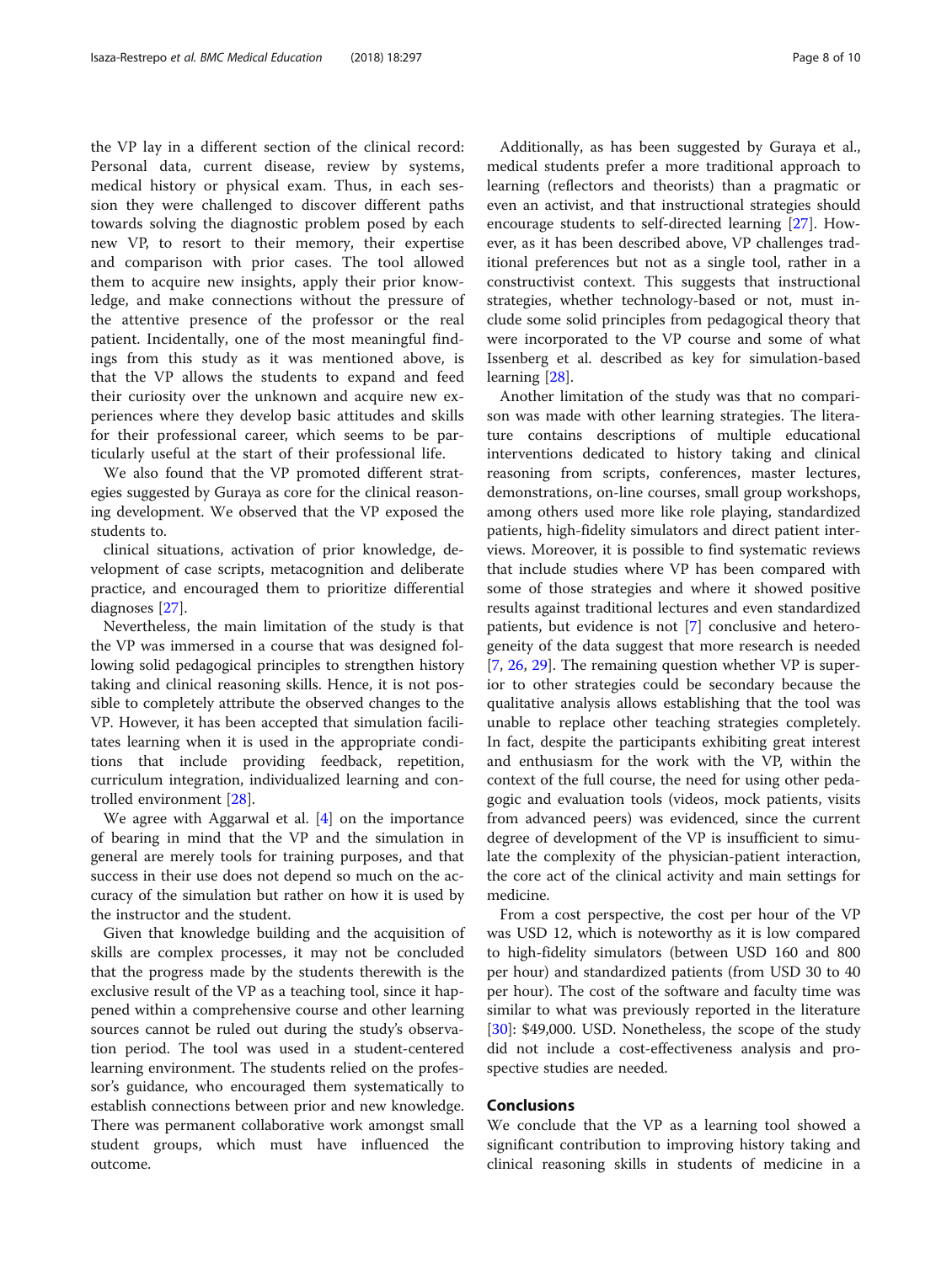the VP lay in a different section of the clinical record: Personal data, current disease, review by systems, medical history or physical exam. Thus, in each session they were challenged to discover different paths towards solving the diagnostic problem posed by each new VP, to resort to their memory, their expertise and comparison with prior cases. The tool allowed them to acquire new insights, apply their prior knowledge, and make connections without the pressure of the attentive presence of the professor or the real patient. Incidentally, one of the most meaningful findings from this study as it was mentioned above, is that the VP allows the students to expand and feed their curiosity over the unknown and acquire new experiences where they develop basic attitudes and skills for their professional career, which seems to be particularly useful at the start of their professional life.

We also found that the VP promoted different strategies suggested by Guraya as core for the clinical reasoning development. We observed that the VP exposed the students to.

clinical situations, activation of prior knowledge, development of case scripts, metacognition and deliberate practice, and encouraged them to prioritize differential diagnoses [\[27\]](#page-9-0).

Nevertheless, the main limitation of the study is that the VP was immersed in a course that was designed following solid pedagogical principles to strengthen history taking and clinical reasoning skills. Hence, it is not possible to completely attribute the observed changes to the VP. However, it has been accepted that simulation facilitates learning when it is used in the appropriate conditions that include providing feedback, repetition, curriculum integration, individualized learning and controlled environment [[28](#page-9-0)].

We agree with Aggarwal et al. [[4](#page-8-0)] on the importance of bearing in mind that the VP and the simulation in general are merely tools for training purposes, and that success in their use does not depend so much on the accuracy of the simulation but rather on how it is used by the instructor and the student.

Given that knowledge building and the acquisition of skills are complex processes, it may not be concluded that the progress made by the students therewith is the exclusive result of the VP as a teaching tool, since it happened within a comprehensive course and other learning sources cannot be ruled out during the study's observation period. The tool was used in a student-centered learning environment. The students relied on the professor's guidance, who encouraged them systematically to establish connections between prior and new knowledge. There was permanent collaborative work amongst small student groups, which must have influenced the outcome.

Additionally, as has been suggested by Guraya et al., medical students prefer a more traditional approach to learning (reflectors and theorists) than a pragmatic or even an activist, and that instructional strategies should encourage students to self-directed learning [\[27](#page-9-0)]. However, as it has been described above, VP challenges traditional preferences but not as a single tool, rather in a constructivist context. This suggests that instructional strategies, whether technology-based or not, must include some solid principles from pedagogical theory that were incorporated to the VP course and some of what Issenberg et al. described as key for simulation-based learning [[28\]](#page-9-0).

Another limitation of the study was that no comparison was made with other learning strategies. The literature contains descriptions of multiple educational interventions dedicated to history taking and clinical reasoning from scripts, conferences, master lectures, demonstrations, on-line courses, small group workshops, among others used more like role playing, standardized patients, high-fidelity simulators and direct patient interviews. Moreover, it is possible to find systematic reviews that include studies where VP has been compared with some of those strategies and where it showed positive results against traditional lectures and even standardized patients, but evidence is not [\[7](#page-8-0)] conclusive and heterogeneity of the data suggest that more research is needed [[7,](#page-8-0) [26,](#page-9-0) [29\]](#page-9-0). The remaining question whether VP is superior to other strategies could be secondary because the qualitative analysis allows establishing that the tool was unable to replace other teaching strategies completely. In fact, despite the participants exhibiting great interest and enthusiasm for the work with the VP, within the context of the full course, the need for using other pedagogic and evaluation tools (videos, mock patients, visits from advanced peers) was evidenced, since the current degree of development of the VP is insufficient to simulate the complexity of the physician-patient interaction, the core act of the clinical activity and main settings for medicine.

From a cost perspective, the cost per hour of the VP was USD 12, which is noteworthy as it is low compared to high-fidelity simulators (between USD 160 and 800 per hour) and standardized patients (from USD 30 to 40 per hour). The cost of the software and faculty time was similar to what was previously reported in the literature [[30\]](#page-9-0): \$49,000. USD. Nonetheless, the scope of the study did not include a cost-effectiveness analysis and prospective studies are needed.

## Conclusions

We conclude that the VP as a learning tool showed a significant contribution to improving history taking and clinical reasoning skills in students of medicine in a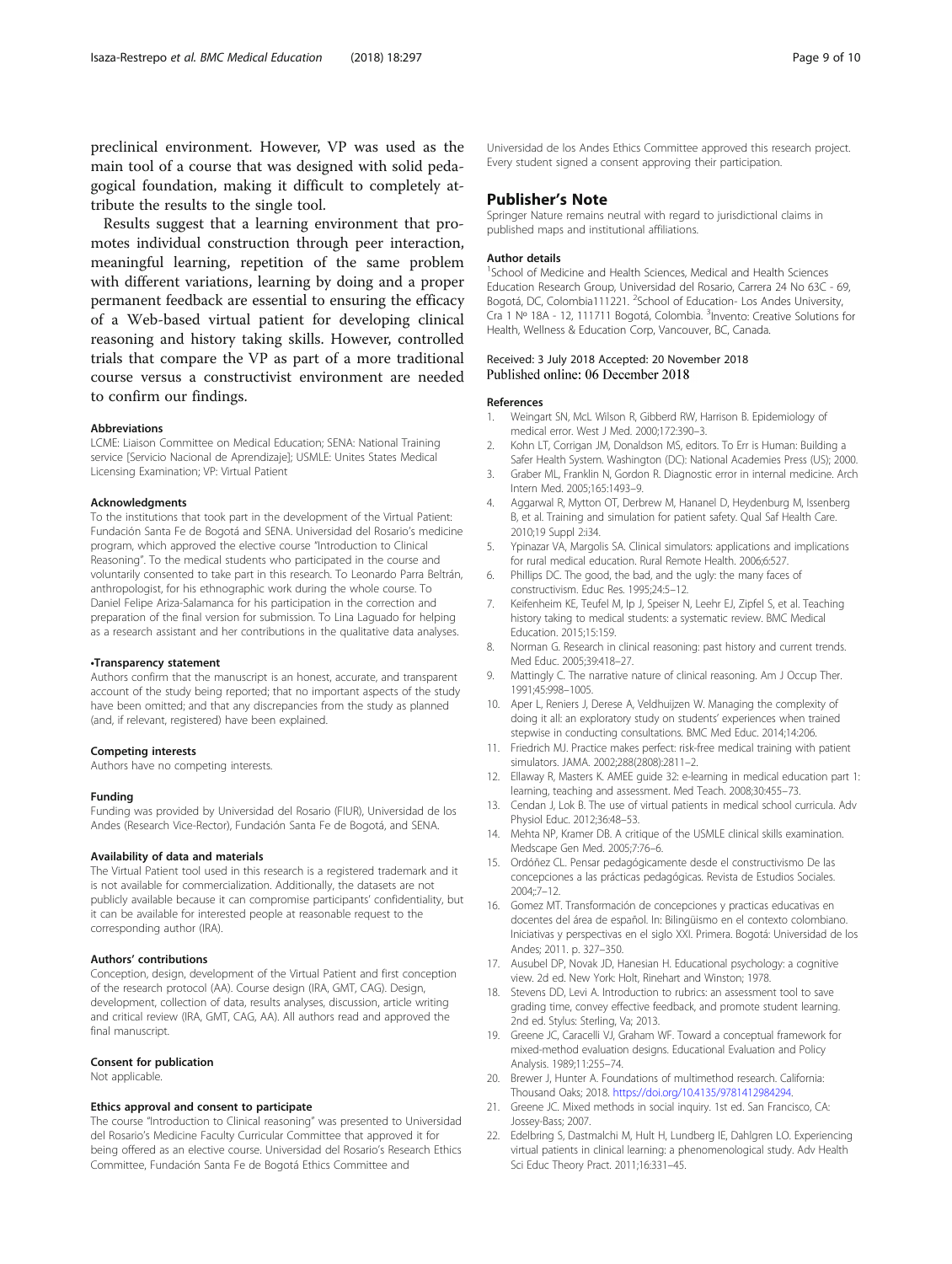<span id="page-8-0"></span>preclinical environment. However, VP was used as the main tool of a course that was designed with solid pedagogical foundation, making it difficult to completely attribute the results to the single tool.

Results suggest that a learning environment that promotes individual construction through peer interaction, meaningful learning, repetition of the same problem with different variations, learning by doing and a proper permanent feedback are essential to ensuring the efficacy of a Web-based virtual patient for developing clinical reasoning and history taking skills. However, controlled trials that compare the VP as part of a more traditional course versus a constructivist environment are needed to confirm our findings.

#### Abbreviations

LCME: Liaison Committee on Medical Education; SENA: National Training service [Servicio Nacional de Aprendizaje]; USMLE: Unites States Medical Licensing Examination; VP: Virtual Patient

#### **Acknowledaments**

To the institutions that took part in the development of the Virtual Patient: Fundación Santa Fe de Bogotá and SENA. Universidad del Rosario's medicine program, which approved the elective course "Introduction to Clinical Reasoning". To the medical students who participated in the course and voluntarily consented to take part in this research. To Leonardo Parra Beltrán, anthropologist, for his ethnographic work during the whole course. To Daniel Felipe Ariza-Salamanca for his participation in the correction and preparation of the final version for submission. To Lina Laguado for helping as a research assistant and her contributions in the qualitative data analyses.

#### •Transparency statement

Authors confirm that the manuscript is an honest, accurate, and transparent account of the study being reported; that no important aspects of the study have been omitted; and that any discrepancies from the study as planned (and, if relevant, registered) have been explained.

#### Competing interests

Authors have no competing interests.

#### Funding

Funding was provided by Universidad del Rosario (FIUR), Universidad de los Andes (Research Vice-Rector), Fundación Santa Fe de Bogotá, and SENA.

#### Availability of data and materials

The Virtual Patient tool used in this research is a registered trademark and it is not available for commercialization. Additionally, the datasets are not publicly available because it can compromise participants' confidentiality, but it can be available for interested people at reasonable request to the corresponding author (IRA).

#### Authors' contributions

Conception, design, development of the Virtual Patient and first conception of the research protocol (AA). Course design (IRA, GMT, CAG). Design, development, collection of data, results analyses, discussion, article writing and critical review (IRA, GMT, CAG, AA). All authors read and approved the final manuscript.

#### Consent for publication

Not applicable.

#### Ethics approval and consent to participate

The course "Introduction to Clinical reasoning" was presented to Universidad del Rosario's Medicine Faculty Curricular Committee that approved it for being offered as an elective course. Universidad del Rosario's Research Ethics Committee, Fundación Santa Fe de Bogotá Ethics Committee and

Universidad de los Andes Ethics Committee approved this research project. Every student signed a consent approving their participation.

### Publisher's Note

Springer Nature remains neutral with regard to jurisdictional claims in published maps and institutional affiliations.

#### Author details

<sup>1</sup>School of Medicine and Health Sciences, Medical and Health Sciences Education Research Group, Universidad del Rosario, Carrera 24 No 63C - 69, Bogotá, DC, Colombia111221. <sup>2</sup>School of Education- Los Andes University, Cra 1 Nº 18A - 12, 111711 Bogotá, Colombia. <sup>3</sup>Invento: Creative Solutions for Health, Wellness & Education Corp, Vancouver, BC, Canada.

#### Received: 3 July 2018 Accepted: 20 November 2018 Published online: 06 December 2018

#### References

- 1. Weingart SN, McL Wilson R, Gibberd RW, Harrison B. Epidemiology of medical error. West J Med. 2000;172:390–3.
- 2. Kohn LT, Corrigan JM, Donaldson MS, editors. To Err is Human: Building a Safer Health System. Washington (DC): National Academies Press (US); 2000.
- 3. Graber ML, Franklin N, Gordon R. Diagnostic error in internal medicine. Arch Intern Med. 2005;165:1493–9.
- 4. Aggarwal R, Mytton OT, Derbrew M, Hananel D, Heydenburg M, Issenberg B, et al. Training and simulation for patient safety. Qual Saf Health Care. 2010;19 Suppl 2:i34.
- 5. Ypinazar VA, Margolis SA. Clinical simulators: applications and implications for rural medical education. Rural Remote Health. 2006;6:527.
- 6. Phillips DC. The good, the bad, and the ugly: the many faces of constructivism. Educ Res. 1995;24:5–12.
- 7. Keifenheim KE, Teufel M, Ip J, Speiser N, Leehr EJ, Zipfel S, et al. Teaching history taking to medical students: a systematic review. BMC Medical Education. 2015;15:159.
- 8. Norman G. Research in clinical reasoning: past history and current trends. Med Educ. 2005;39:418–27.
- 9. Mattingly C. The narrative nature of clinical reasoning. Am J Occup Ther. 1991;45:998–1005.
- 10. Aper L, Reniers J, Derese A, Veldhuijzen W. Managing the complexity of doing it all: an exploratory study on students' experiences when trained stepwise in conducting consultations. BMC Med Educ. 2014;14:206.
- 11. Friedrich MJ. Practice makes perfect: risk-free medical training with patient simulators. JAMA. 2002;288(2808):2811–2.
- 12. Ellaway R, Masters K. AMEE guide 32: e-learning in medical education part 1: learning, teaching and assessment. Med Teach. 2008;30:455–73.
- 13. Cendan J, Lok B. The use of virtual patients in medical school curricula. Adv Physiol Educ. 2012;36:48–53.
- 14. Mehta NP, Kramer DB. A critique of the USMLE clinical skills examination. Medscape Gen Med. 2005;7:76–6.
- 15. Ordóñez CL. Pensar pedagógicamente desde el constructivismo De las concepciones a las prácticas pedagógicas. Revista de Estudios Sociales. 2004;:7–12.
- 16. Gomez MT. Transformación de concepciones y practicas educativas en docentes del área de español. In: Bilingüismo en el contexto colombiano. Iniciativas y perspectivas en el siglo XXI. Primera. Bogotá: Universidad de los Andes; 2011. p. 327–350.
- 17. Ausubel DP, Novak JD, Hanesian H. Educational psychology: a cognitive view. 2d ed. New York: Holt, Rinehart and Winston; 1978.
- 18. Stevens DD, Levi A. Introduction to rubrics: an assessment tool to save grading time, convey effective feedback, and promote student learning. 2nd ed. Stylus: Sterling, Va; 2013.
- 19. Greene JC, Caracelli VJ, Graham WF. Toward a conceptual framework for mixed-method evaluation designs. Educational Evaluation and Policy Analysis. 1989;11:255–74.
- 20. Brewer J, Hunter A. Foundations of multimethod research. California: Thousand Oaks; 2018. <https://doi.org/10.4135/9781412984294>.
- 21. Greene JC. Mixed methods in social inquiry. 1st ed. San Francisco, CA: Jossey-Bass; 2007.
- 22. Edelbring S, Dastmalchi M, Hult H, Lundberg IE, Dahlgren LO. Experiencing virtual patients in clinical learning: a phenomenological study. Adv Health Sci Educ Theory Pract. 2011;16:331–45.